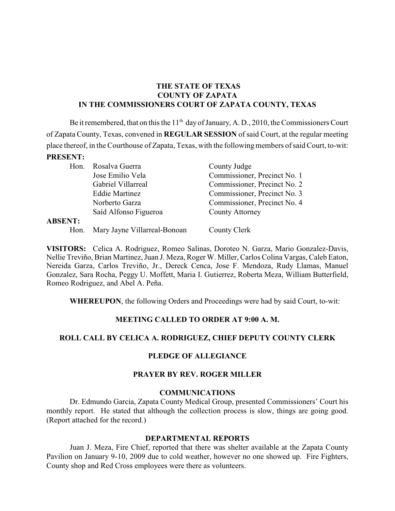## **THE STATE OF TEXAS COUNTY OF ZAPATA IN THE COMMISSIONERS COURT OF ZAPATA COUNTY, TEXAS**

Be it remembered, that on this the  $11<sup>th</sup>$  day of January, A. D., 2010, the Commissioners Court of Zapata County, Texas, convened in **REGULAR SESSION** of said Court, at the regular meeting place thereof, in the Courthouse of Zapata, Texas, with the following members of said Court, to-wit: **PRESENT:**

| Hon.           | Rosalva Guerra               | County Judge                 |
|----------------|------------------------------|------------------------------|
|                | Jose Emilio Vela             | Commissioner, Precinct No. 1 |
|                | Gabriel Villarreal           | Commissioner, Precinct No. 2 |
|                | <b>Eddie Martinez</b>        | Commissioner, Precinct No. 3 |
|                | Norberto Garza               | Commissioner, Precinct No. 4 |
|                | Saíd Alfonso Figueroa        | County Attorney              |
| <b>ABSENT:</b> |                              |                              |
| Hon.           | Mary Jayne Villarreal-Bonoan | County Clerk                 |

**VISITORS:** Celica A. Rodriguez, Romeo Salinas, Doroteo N. Garza, Mario Gonzalez-Davis, Nellie Treviño, Brian Martinez, Juan J. Meza, Roger W. Miller, Carlos Colina Vargas, Caleb Eaton, Nereida Garza, Carlos Treviño, Jr., Dereck Cenca, Jose F. Mendoza, Rudy Llamas, Manuel Gonzalez, Sara Rocha, Peggy U. Moffett, Maria I. Gutierrez, Roberta Meza, William Butterfield, Romeo Rodriguez, and Abel A. Peña.

**WHEREUPON**, the following Orders and Proceedings were had by said Court, to-wit:

## **MEETING CALLED TO ORDER AT 9:00 A. M.**

## **ROLL CALL BY CELICA A. RODRIGUEZ, CHIEF DEPUTY COUNTY CLERK**

## **PLEDGE OF ALLEGIANCE**

# **PRAYER BY REV. ROGER MILLER**

## **COMMUNICATIONS**

Dr. Edmundo Garcia, Zapata County Medical Group, presented Commissioners' Court his monthly report. He stated that although the collection process is slow, things are going good. (Report attached for the record.)

#### **DEPARTMENTAL REPORTS**

Juan J. Meza, Fire Chief, reported that there was shelter available at the Zapata County Pavilion on January 9-10, 2009 due to cold weather, however no one showed up. Fire Fighters, County shop and Red Cross employees were there as volunteers.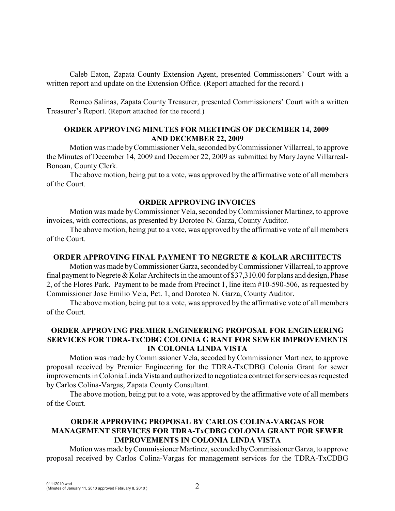Caleb Eaton, Zapata County Extension Agent, presented Commissioners' Court with a written report and update on the Extension Office. (Report attached for the record.)

Romeo Salinas, Zapata County Treasurer, presented Commissioners' Court with a written Treasurer's Report. (Report attached for the record.)

#### **ORDER APPROVING MINUTES FOR MEETINGS OF DECEMBER 14, 2009 AND DECEMBER 22, 2009**

Motion was made byCommissioner Vela, seconded byCommissioner Villarreal, to approve the Minutes of December 14, 2009 and December 22, 2009 as submitted by Mary Jayne Villarreal-Bonoan, County Clerk.

The above motion, being put to a vote, was approved by the affirmative vote of all members of the Court.

#### **ORDER APPROVING INVOICES**

Motion was made by Commissioner Vela, seconded byCommissioner Martinez, to approve invoices, with corrections, as presented by Doroteo N. Garza, County Auditor.

The above motion, being put to a vote, was approved by the affirmative vote of all members of the Court.

### **ORDER APPROVING FINAL PAYMENT TO NEGRETE & KOLAR ARCHITECTS**

Motion was made by Commissioner Garza, seconded by Commissioner Villarreal, to approve final payment to Negrete & Kolar Architects in the amount of \$37,310.00 for plans and design, Phase 2, of the Flores Park. Payment to be made from Precinct 1, line item #10-590-506, as requested by Commissioner Jose Emilio Vela, Pct. 1, and Doroteo N. Garza, County Auditor.

The above motion, being put to a vote, was approved by the affirmative vote of all members of the Court.

### **ORDER APPROVING PREMIER ENGINEERING PROPOSAL FOR ENGINEERING SERVICES FOR TDRA-TxCDBG COLONIA G RANT FOR SEWER IMPROVEMENTS IN COLONIA LINDA VISTA**

Motion was made by Commissioner Vela, secoded by Commissioner Martinez, to approve proposal received by Premier Engineering for the TDRA-TxCDBG Colonia Grant for sewer improvements in Colonia Linda Vista and authorized to negotiate a contract for services as requested by Carlos Colina-Vargas, Zapata County Consultant.

The above motion, being put to a vote, was approved by the affirmative vote of all members of the Court.

# **ORDER APPROVING PROPOSAL BY CARLOS COLINA-VARGAS FOR MANAGEMENT SERVICES FOR TDRA-TxCDBG COLONIA GRANT FOR SEWER IMPROVEMENTS IN COLONIA LINDA VISTA**

Motion was made by Commissioner Martinez, seconded by Commissioner Garza, to approve proposal received by Carlos Colina-Vargas for management services for the TDRA-TxCDBG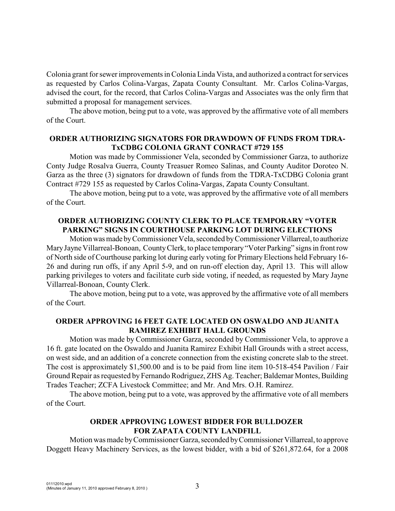Colonia grant for sewer improvements in Colonia Linda Vista, and authorized a contract for services as requested by Carlos Colina-Vargas, Zapata County Consultant. Mr. Carlos Colina-Vargas, advised the court, for the record, that Carlos Colina-Vargas and Associates was the only firm that submitted a proposal for management services.

The above motion, being put to a vote, was approved by the affirmative vote of all members of the Court.

#### **ORDER AUTHORIZING SIGNATORS FOR DRAWDOWN OF FUNDS FROM TDRA-TxCDBG COLONIA GRANT CONRACT #729 155**

Motion was made by Commissioner Vela, seconded by Commissioner Garza, to authorize Conty Judge Rosalva Guerra, County Treasuer Romeo Salinas, and County Auditor Doroteo N. Garza as the three (3) signators for drawdown of funds from the TDRA-TxCDBG Colonia grant Contract #729 155 as requested by Carlos Colina-Vargas, Zapata County Consultant.

The above motion, being put to a vote, was approved by the affirmative vote of all members of the Court.

## **ORDER AUTHORIZING COUNTY CLERK TO PLACE TEMPORARY "VOTER PARKING" SIGNS IN COURTHOUSE PARKING LOT DURING ELECTIONS**

Motion was made by Commissioner Vela, seconded by Commissioner Villarreal, to authorize MaryJayne Villarreal-Bonoan, County Clerk, to place temporary "Voter Parking" signs in front row of North side of Courthouse parking lot during early voting for Primary Elections held February 16- 26 and during run offs, if any April 5-9, and on run-off election day, April 13. This will allow parking privileges to voters and facilitate curb side voting, if needed, as requested by Mary Jayne Villarreal-Bonoan, County Clerk.

The above motion, being put to a vote, was approved by the affirmative vote of all members of the Court.

#### **ORDER APPROVING 16 FEET GATE LOCATED ON OSWALDO AND JUANITA RAMIREZ EXHIBIT HALL GROUNDS**

Motion was made by Commissioner Garza, seconded by Commissioner Vela, to approve a 16 ft. gate located on the Oswaldo and Juanita Ramirez Exhibit Hall Grounds with a street access, on west side, and an addition of a concrete connection from the existing concrete slab to the street. The cost is approximately \$1,500.00 and is to be paid from line item 10-518-454 Pavilion / Fair Ground Repair as requested by Fernando Rodriguez, ZHS Ag. Teacher; Baldemar Montes, Building Trades Teacher; ZCFA Livestock Committee; and Mr. And Mrs. O.H. Ramirez.

The above motion, being put to a vote, was approved by the affirmative vote of all members of the Court.

# **ORDER APPROVING LOWEST BIDDER FOR BULLDOZER FOR ZAPATA COUNTY LANDFILL**

Motion was made by Commissioner Garza, seconded by Commissioner Villarreal, to approve Doggett Heavy Machinery Services, as the lowest bidder, with a bid of \$261,872.64, for a 2008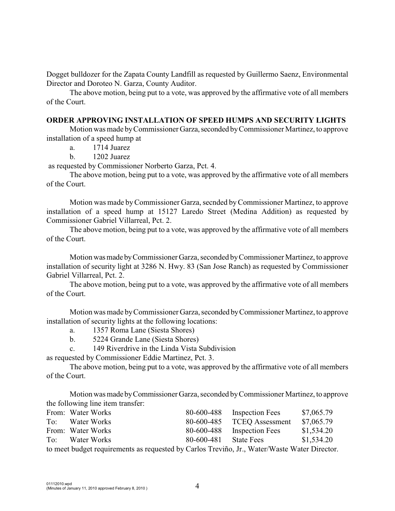Dogget bulldozer for the Zapata County Landfill as requested by Guillermo Saenz, Environmental Director and Doroteo N. Garza, County Auditor.

The above motion, being put to a vote, was approved by the affirmative vote of all members of the Court.

#### **ORDER APPROVING INSTALLATION OF SPEED HUMPS AND SECURITY LIGHTS**

Motion was made by Commissioner Garza, seconded by Commissioner Martinez, to approve installation of a speed hump at

a. 1714 Juarez

b. 1202 Juarez

as requested by Commissioner Norberto Garza, Pct. 4.

The above motion, being put to a vote, was approved by the affirmative vote of all members of the Court.

Motion was made byCommissioner Garza, secnded by Commissioner Martinez, to approve installation of a speed hump at 15127 Laredo Street (Medina Addition) as requested by Commissioner Gabriel Villarreal, Pct. 2.

The above motion, being put to a vote, was approved by the affirmative vote of all members of the Court.

Motion was made by Commissioner Garza, seconded by Commissioner Martinez, to approve installation of security light at 3286 N. Hwy. 83 (San Jose Ranch) as requested by Commissioner Gabriel Villarreal, Pct. 2.

The above motion, being put to a vote, was approved by the affirmative vote of all members of the Court.

Motion was made by Commissioner Garza, seconded by Commissioner Martinez, to approve installation of security lights at the following locations:

- a. 1357 Roma Lane (Siesta Shores)
- b. 5224 Grande Lane (Siesta Shores)

c. 149 Riverdrive in the Linda Vista Subdivision

as requested by Commissioner Eddie Martinez, Pct. 3.

The above motion, being put to a vote, was approved by the affirmative vote of all members of the Court.

Motion was made by Commissioner Garza, seconded by Commissioner Martinez, to approve the following line item transfer:

|     | From: Water Works                                                                            | 80-600-488 | <b>Inspection Fees</b> | \$7,065.79 |
|-----|----------------------------------------------------------------------------------------------|------------|------------------------|------------|
| To: | Water Works                                                                                  | 80-600-485 | <b>TCEQ</b> Assessment | \$7,065.79 |
|     | From: Water Works                                                                            | 80-600-488 | <b>Inspection Fees</b> | \$1,534.20 |
| To: | Water Works                                                                                  | 80-600-481 | <b>State Fees</b>      | \$1,534.20 |
|     | to meet budget requirements as requested by Carlos Treviño, Jr., Water/Waste Water Director. |            |                        |            |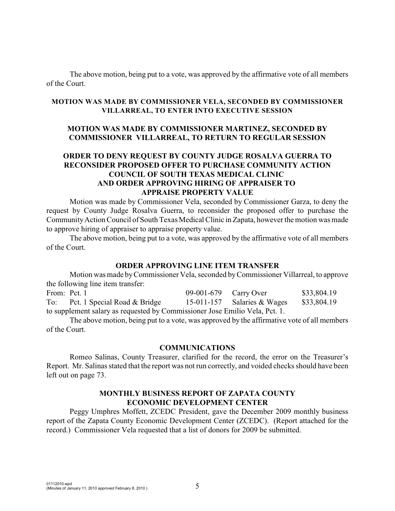The above motion, being put to a vote, was approved by the affirmative vote of all members of the Court.

#### **MOTION WAS MADE BY COMMISSIONER VELA, SECONDED BY COMMISSIONER VILLARREAL, TO ENTER INTO EXECUTIVE SESSION**

## **MOTION WAS MADE BY COMMISSIONER MARTINEZ, SECONDED BY COMMISSIONER VILLARREAL, TO RETURN TO REGULAR SESSION**

## **ORDER TO DENY REQUEST BY COUNTY JUDGE ROSALVA GUERRA TO RECONSIDER PROPOSED OFFER TO PURCHASE COMMUNITY ACTION COUNCIL OF SOUTH TEXAS MEDICAL CLINIC AND ORDER APPROVING HIRING OF APPRAISER TO APPRAISE PROPERTY VALUE**

Motion was made by Commissioner Vela, seconded by Commissioner Garza, to deny the request by County Judge Rosalva Guerra, to reconsider the proposed offer to purchase the CommunityAction Council of South Texas Medical Clinic in Zapata, however the motion was made to approve hiring of appraiser to appraise property value.

The above motion, being put to a vote, was approved by the affirmative vote of all members of the Court.

#### **ORDER APPROVING LINE ITEM TRANSFER**

Motion was made byCommissioner Vela, seconded by Commissioner Villarreal, to approve the following line item transfer:

From: Pct. 1 09-001-679 Carry Over \$33,804.19 To: Pct. 1 Special Road & Bridge 15-011-157 Salaries & Wages \$33,804.19 to supplement salary as requested by Commissioner Jose Emilio Vela, Pct. 1.

The above motion, being put to a vote, was approved by the affirmative vote of all members of the Court.

#### **COMMUNICATIONS**

Romeo Salinas, County Treasurer, clarified for the record, the error on the Treasurer's Report. Mr. Salinas stated that the report was not run correctly, and voided checks should have been left out on page 73.

#### **MONTHLY BUSINESS REPORT OF ZAPATA COUNTY ECONOMIC DEVELOPMENT CENTER**

Peggy Umphres Moffett, ZCEDC President, gave the December 2009 monthly business report of the Zapata County Economic Development Center (ZCEDC). (Report attached for the record.) Commissioner Vela requested that a list of donors for 2009 be submitted.